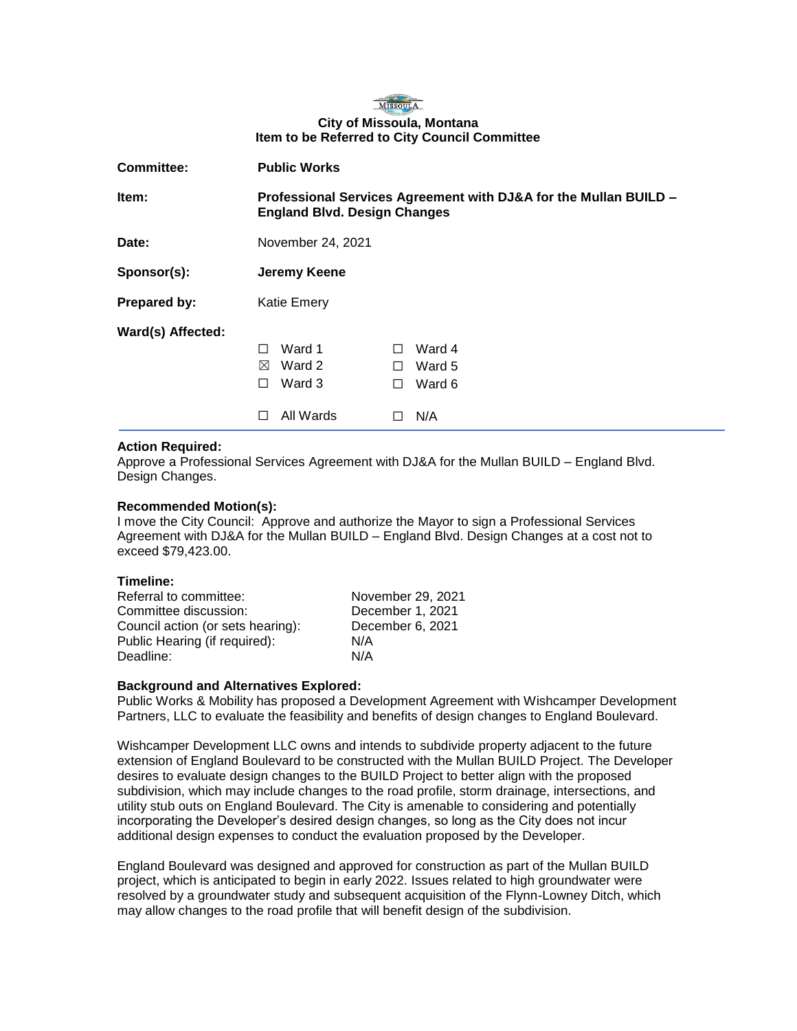

## **City of Missoula, Montana Item to be Referred to City Council Committee**

| Committee:        | <b>Public Works</b>                                                                                     |                                   |
|-------------------|---------------------------------------------------------------------------------------------------------|-----------------------------------|
| Item:             | Professional Services Agreement with DJ&A for the Mullan BUILD -<br><b>England Blvd. Design Changes</b> |                                   |
| Date:             | November 24, 2021                                                                                       |                                   |
| Sponsor(s):       | Jeremy Keene                                                                                            |                                   |
| Prepared by:      | <b>Katie Emery</b>                                                                                      |                                   |
| Ward(s) Affected: | Ward 1<br>$\mathsf{L}$<br>$\perp$<br>Ward 2<br>⊠<br>П<br>Ward 3<br>П<br>П<br>All Wards<br>H             | Ward 4<br>Ward 5<br>Ward 6<br>N/A |

## **Action Required:**

Approve a Professional Services Agreement with DJ&A for the Mullan BUILD – England Blvd. Design Changes.

## **Recommended Motion(s):**

I move the City Council: Approve and authorize the Mayor to sign a Professional Services Agreement with DJ&A for the Mullan BUILD – England Blvd. Design Changes at a cost not to exceed \$79,423.00.

#### **Timeline:**

Referral to committee: November 29, 2021 Committee discussion: December 1, 2021 Council action (or sets hearing): December 6, 2021 Public Hearing (if required): N/A Deadline: N/A

#### **Background and Alternatives Explored:**

Public Works & Mobility has proposed a Development Agreement with Wishcamper Development Partners, LLC to evaluate the feasibility and benefits of design changes to England Boulevard.

Wishcamper Development LLC owns and intends to subdivide property adjacent to the future extension of England Boulevard to be constructed with the Mullan BUILD Project. The Developer desires to evaluate design changes to the BUILD Project to better align with the proposed subdivision, which may include changes to the road profile, storm drainage, intersections, and utility stub outs on England Boulevard. The City is amenable to considering and potentially incorporating the Developer's desired design changes, so long as the City does not incur additional design expenses to conduct the evaluation proposed by the Developer.

England Boulevard was designed and approved for construction as part of the Mullan BUILD project, which is anticipated to begin in early 2022. Issues related to high groundwater were resolved by a groundwater study and subsequent acquisition of the Flynn-Lowney Ditch, which may allow changes to the road profile that will benefit design of the subdivision.